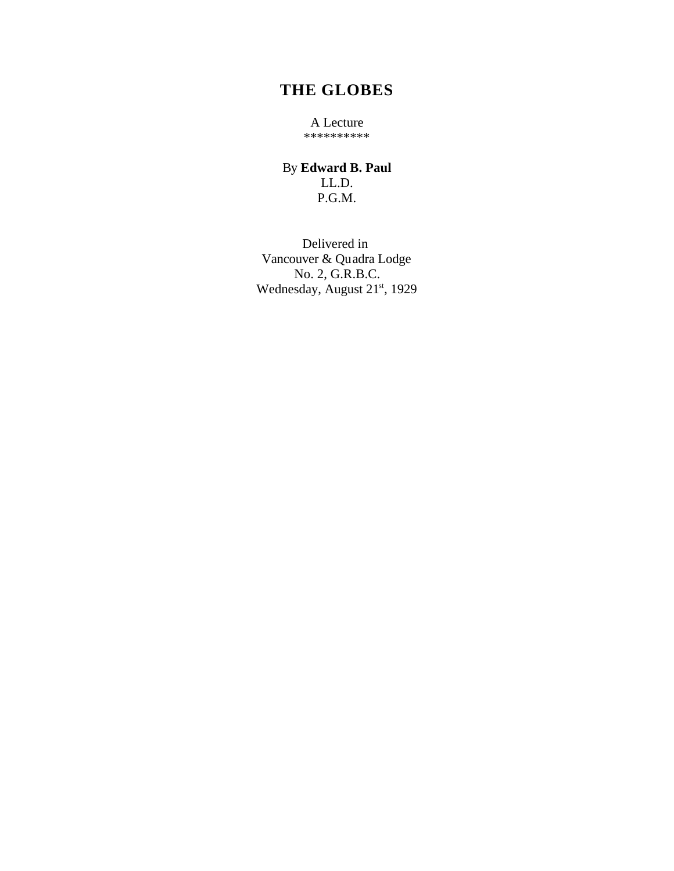## **THE GLOBES**

A Lecture \*\*\*\*\*\*\*\*\*\*

By **Edward B. Paul** LL.D. P.G.M.

Delivered in Vancouver & Quadra Lodge No. 2, G.R.B.C. Wednesday, August 21<sup>st</sup>, 1929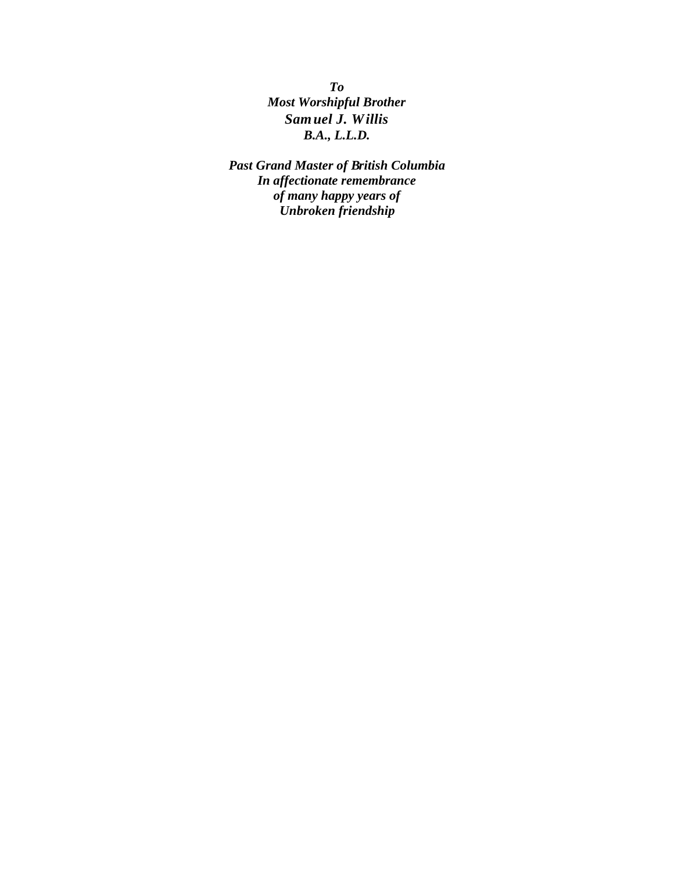*To Most Worshipful Brother Samuel J. Willis B.A., L.L.D.*

*Past Grand Master of British Columbia In affectionate remembrance of many happy years of Unbroken friendship*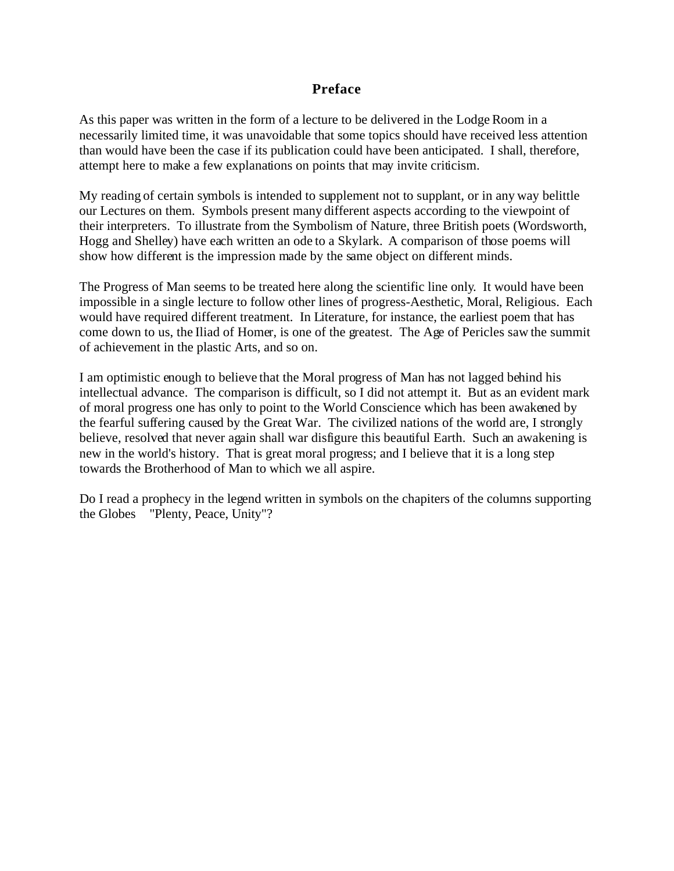#### **Preface**

As this paper was written in the form of a lecture to be delivered in the Lodge Room in a necessarily limited time, it was unavoidable that some topics should have received less attention than would have been the case if its publication could have been anticipated. I shall, therefore, attempt here to make a few explanations on points that may invite criticism.

My reading of certain symbols is intended to supplement not to supplant, or in any way belittle our Lectures on them. Symbols present many different aspects according to the viewpoint of their interpreters. To illustrate from the Symbolism of Nature, three British poets (Wordsworth, Hogg and Shelley) have each written an ode to a Skylark. A comparison of those poems will show how different is the impression made by the same object on different minds.

The Progress of Man seems to be treated here along the scientific line only. It would have been impossible in a single lecture to follow other lines of progress-Aesthetic, Moral, Religious. Each would have required different treatment. In Literature, for instance, the earliest poem that has come down to us, the Iliad of Homer, is one of the greatest. The Age of Pericles saw the summit of achievement in the plastic Arts, and so on.

I am optimistic enough to believe that the Moral progress of Man has not lagged behind his intellectual advance. The comparison is difficult, so I did not attempt it. But as an evident mark of moral progress one has only to point to the World Conscience which has been awakened by the fearful suffering caused by the Great War. The civilized nations of the world are, I strongly believe, resolved that never again shall war disfigure this beautiful Earth. Such an awakening is new in the world's history. That is great moral progress; and I believe that it is a long step towards the Brotherhood of Man to which we all aspire.

Do I read a prophecy in the legend written in symbols on the chapiters of the columns supporting the Globes "Plenty, Peace, Unity"?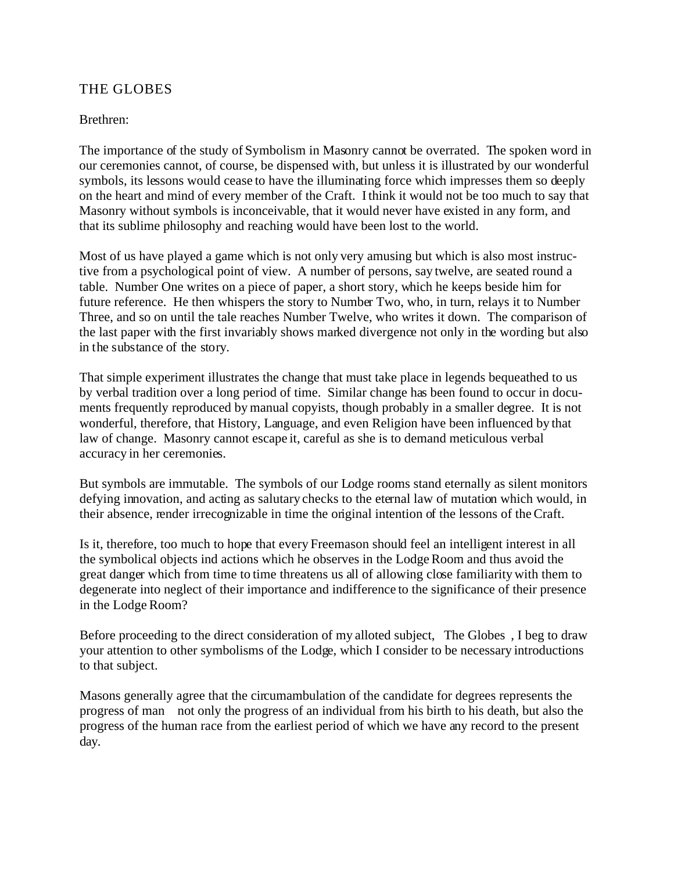#### THE GLOBES

#### Brethren:

The importance of the study of Symbolism in Masonry cannot be overrated. The spoken word in our ceremonies cannot, of course, be dispensed with, but unless it is illustrated by our wonderful symbols, its lessons would cease to have the illuminating force which impresses them so deeply on the heart and mind of every member of the Craft. I think it would not be too much to say that Masonry without symbols is inconceivable, that it would never have existed in any form, and that its sublime philosophy and reaching would have been lost to the world.

Most of us have played a game which is not only very amusing but which is also most instructive from a psychological point of view. A number of persons, say twelve, are seated round a table. Number One writes on a piece of paper, a short story, which he keeps beside him for future reference. He then whispers the story to Number Two, who, in turn, relays it to Number Three, and so on until the tale reaches Number Twelve, who writes it down. The comparison of the last paper with the first invariably shows marked divergence not only in the wording but also in the substance of the story.

That simple experiment illustrates the change that must take place in legends bequeathed to us by verbal tradition over a long period of time. Similar change has been found to occur in documents frequently reproduced by manual copyists, though probably in a smaller degree. It is not wonderful, therefore, that History, Language, and even Religion have been influenced by that law of change. Masonry cannot escape it, careful as she is to demand meticulous verbal accuracy in her ceremonies.

But symbols are immutable. The symbols of our Lodge rooms stand eternally as silent monitors defying innovation, and acting as salutary checks to the eternal law of mutation which would, in their absence, render irrecognizable in time the original intention of the lessons of the Craft.

Is it, therefore, too much to hope that every Freemason should feel an intelligent interest in all the symbolical objects ind actions which he observes in the Lodge Room and thus avoid the great danger which from time to time threatens us all of allowing close familiarity with them to degenerate into neglect of their importance and indifference to the significance of their presence in the Lodge Room?

Before proceeding to the direct consideration of my alloted subject, The Globes , I beg to draw your attention to other symbolisms of the Lodge, which I consider to be necessary introductions to that subject.

Masons generally agree that the circumambulation of the candidate for degrees represents the progress of man not only the progress of an individual from his birth to his death, but also the progress of the human race from the earliest period of which we have any record to the present day.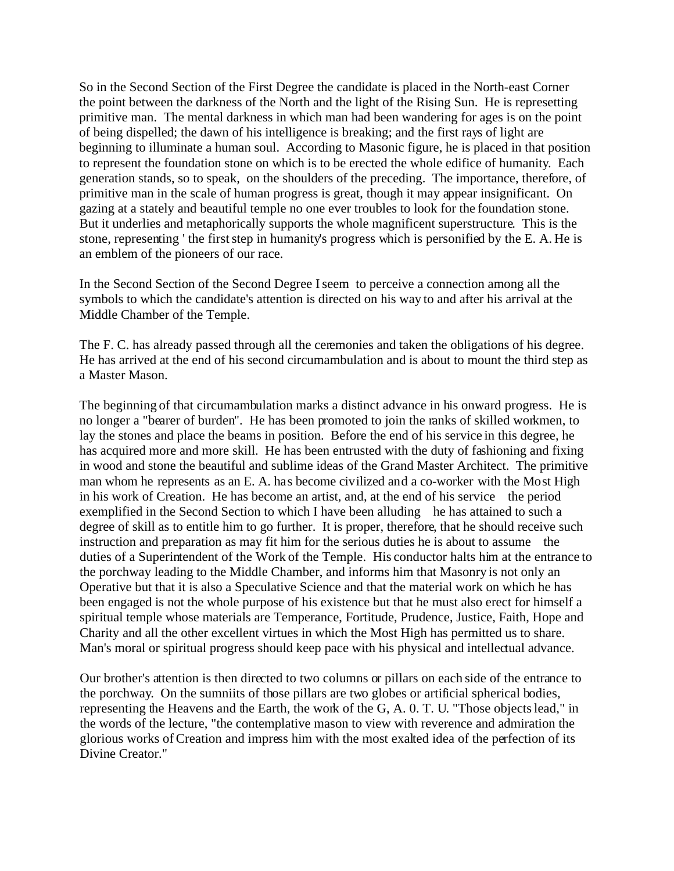So in the Second Section of the First Degree the candidate is placed in the North-east Corner the point between the darkness of the North and the light of the Rising Sun. He is represetting primitive man. The mental darkness in which man had been wandering for ages is on the point of being dispelled; the dawn of his intelligence is breaking; and the first rays of light are beginning to illuminate a human soul. According to Masonic figure, he is placed in that position to represent the foundation stone on which is to be erected the whole edifice of humanity. Each generation stands, so to speak, on the shoulders of the preceding. The importance, therefore, of primitive man in the scale of human progress is great, though it may appear insignificant. On gazing at a stately and beautiful temple no one ever troubles to look for the foundation stone. But it underlies and metaphorically supports the whole magnificent superstructure. This is the stone, representing ' the first step in humanity's progress which is personified by the E. A. He is an emblem of the pioneers of our race.

In the Second Section of the Second Degree I seem to perceive a connection among all the symbols to which the candidate's attention is directed on his way to and after his arrival at the Middle Chamber of the Temple.

The F. C. has already passed through all the ceremonies and taken the obligations of his degree. He has arrived at the end of his second circumambulation and is about to mount the third step as a Master Mason.

The beginning of that circumambulation marks a distinct advance in his onward progress. He is no longer a "bearer of burden". He has been promoted to join the ranks of skilled workmen, to lay the stones and place the beams in position. Before the end of his service in this degree, he has acquired more and more skill. He has been entrusted with the duty of fashioning and fixing in wood and stone the beautiful and sublime ideas of the Grand Master Architect. The primitive man whom he represents as an E. A. has become civilized and a co-worker with the Most High in his work of Creation. He has become an artist, and, at the end of his service the period exemplified in the Second Section to which I have been alluding he has attained to such a degree of skill as to entitle him to go further. It is proper, therefore, that he should receive such instruction and preparation as may fit him for the serious duties he is about to assume the duties of a Superintendent of the Work of the Temple. His conductor halts him at the entrance to the porchway leading to the Middle Chamber, and informs him that Masonry is not only an Operative but that it is also a Speculative Science and that the material work on which he has been engaged is not the whole purpose of his existence but that he must also erect for himself a spiritual temple whose materials are Temperance, Fortitude, Prudence, Justice, Faith, Hope and Charity and all the other excellent virtues in which the Most High has permitted us to share. Man's moral or spiritual progress should keep pace with his physical and intellectual advance.

Our brother's attention is then directed to two columns or pillars on each side of the entrance to the porchway. On the sumniits of those pillars are two globes or artificial spherical bodies, representing the Heavens and the Earth, the work of the G, A. 0. T. U. "Those objects lead," in the words of the lecture, "the contemplative mason to view with reverence and admiration the glorious works of Creation and impress him with the most exalted idea of the perfection of its Divine Creator."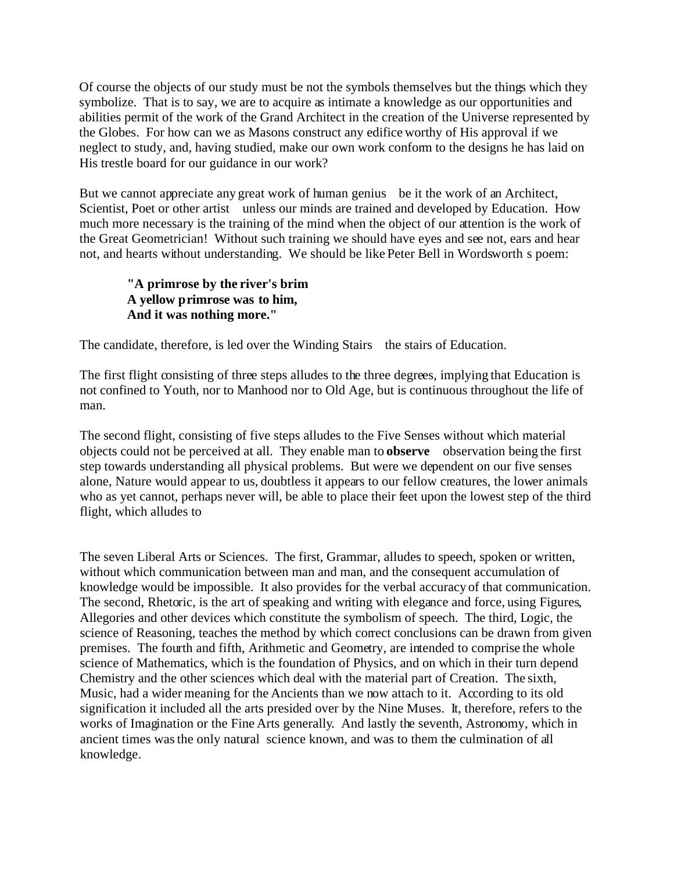Of course the objects of our study must be not the symbols themselves but the things which they symbolize. That is to say, we are to acquire as intimate a knowledge as our opportunities and abilities permit of the work of the Grand Architect in the creation of the Universe represented by the Globes. For how can we as Masons construct any edifice worthy of His approval if we neglect to study, and, having studied, make our own work conform to the designs he has laid on His trestle board for our guidance in our work?

But we cannot appreciate any great work of human genius be it the work of an Architect, Scientist, Poet or other artist unless our minds are trained and developed by Education. How much more necessary is the training of the mind when the object of our attention is the work of the Great Geometrician! Without such training we should have eyes and see not, ears and hear not, and hearts without understanding. We should be like Peter Bell in Wordsworth s poem:

#### **"A primrose by the river's brim A yellow primrose was to him, And it was nothing more."**

The candidate, therefore, is led over the Winding Stairs the stairs of Education.

The first flight consisting of three steps alludes to the three degrees, implying that Education is not confined to Youth, nor to Manhood nor to Old Age, but is continuous throughout the life of man.

The second flight, consisting of five steps alludes to the Five Senses without which material objects could not be perceived at all. They enable man to **observe** observation being the first step towards understanding all physical problems. But were we dependent on our five senses alone, Nature would appear to us, doubtless it appears to our fellow creatures, the lower animals who as yet cannot, perhaps never will, be able to place their feet upon the lowest step of the third flight, which alludes to

The seven Liberal Arts or Sciences. The first, Grammar, alludes to speech, spoken or written, without which communication between man and man, and the consequent accumulation of knowledge would be impossible. It also provides for the verbal accuracy of that communication. The second, Rhetoric, is the art of speaking and writing with elegance and force, using Figures, Allegories and other devices which constitute the symbolism of speech. The third, Logic, the science of Reasoning, teaches the method by which correct conclusions can be drawn from given premises. The fourth and fifth, Arithmetic and Geometry, are intended to comprise the whole science of Mathematics, which is the foundation of Physics, and on which in their turn depend Chemistry and the other sciences which deal with the material part of Creation. The sixth, Music, had a wider meaning for the Ancients than we now attach to it. According to its old signification it included all the arts presided over by the Nine Muses. It, therefore, refers to the works of Imagination or the Fine Arts generally. And lastly the seventh, Astronomy, which in ancient times was the only natural science known, and was to them the culmination of all knowledge.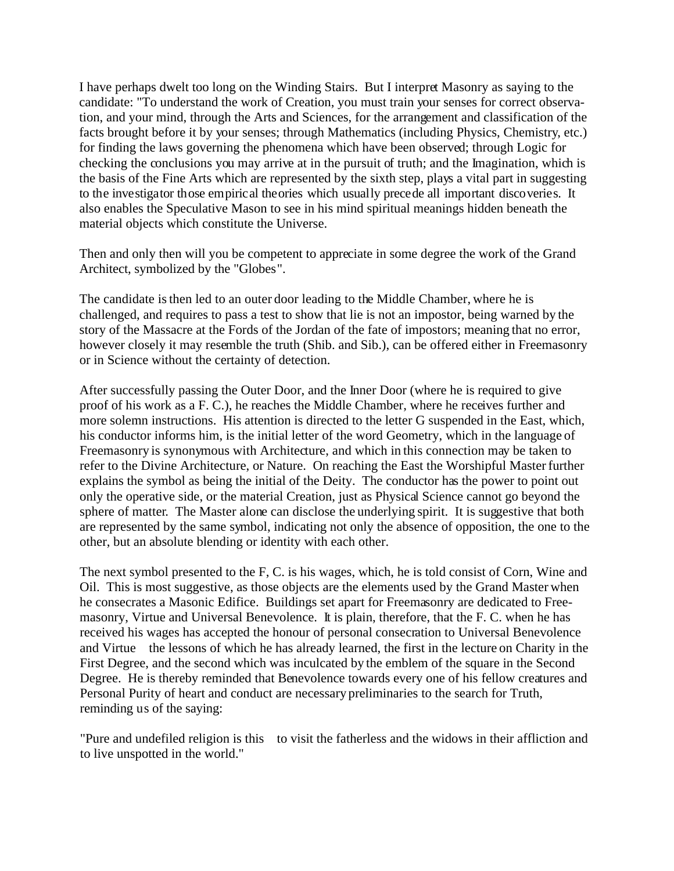I have perhaps dwelt too long on the Winding Stairs. But I interpret Masonry as saying to the candidate: "To understand the work of Creation, you must train your senses for correct observation, and your mind, through the Arts and Sciences, for the arrangement and classification of the facts brought before it by your senses; through Mathematics (including Physics, Chemistry, etc.) for finding the laws governing the phenomena which have been observed; through Logic for checking the conclusions you may arrive at in the pursuit of truth; and the Imagination, which is the basis of the Fine Arts which are represented by the sixth step, plays a vital part in suggesting to the investigator those empirical theories which usually precede all important discoveries. It also enables the Speculative Mason to see in his mind spiritual meanings hidden beneath the material objects which constitute the Universe.

Then and only then will you be competent to appreciate in some degree the work of the Grand Architect, symbolized by the "Globes".

The candidate is then led to an outer door leading to the Middle Chamber, where he is challenged, and requires to pass a test to show that lie is not an impostor, being warned by the story of the Massacre at the Fords of the Jordan of the fate of impostors; meaning that no error, however closely it may resemble the truth (Shib. and Sib.), can be offered either in Freemasonry or in Science without the certainty of detection.

After successfully passing the Outer Door, and the Inner Door (where he is required to give proof of his work as a F. C.), he reaches the Middle Chamber, where he receives further and more solemn instructions. His attention is directed to the letter G suspended in the East, which, his conductor informs him, is the initial letter of the word Geometry, which in the language of Freemasonry is synonymous with Architecture, and which in this connection may be taken to refer to the Divine Architecture, or Nature. On reaching the East the Worshipful Master further explains the symbol as being the initial of the Deity. The conductor has the power to point out only the operative side, or the material Creation, just as Physical Science cannot go beyond the sphere of matter. The Master alone can disclose the underlying spirit. It is suggestive that both are represented by the same symbol, indicating not only the absence of opposition, the one to the other, but an absolute blending or identity with each other.

The next symbol presented to the F, C. is his wages, which, he is told consist of Corn, Wine and Oil. This is most suggestive, as those objects are the elements used by the Grand Master when he consecrates a Masonic Edifice. Buildings set apart for Freemasonry are dedicated to Freemasonry, Virtue and Universal Benevolence. It is plain, therefore, that the F. C. when he has received his wages has accepted the honour of personal consecration to Universal Benevolence and Virtue the lessons of which he has already learned, the first in the lecture on Charity in the First Degree, and the second which was inculcated by the emblem of the square in the Second Degree. He is thereby reminded that Benevolence towards every one of his fellow creatures and Personal Purity of heart and conduct are necessary preliminaries to the search for Truth, reminding us of the saying:

"Pure and undefiled religion is this to visit the fatherless and the widows in their affliction and to live unspotted in the world."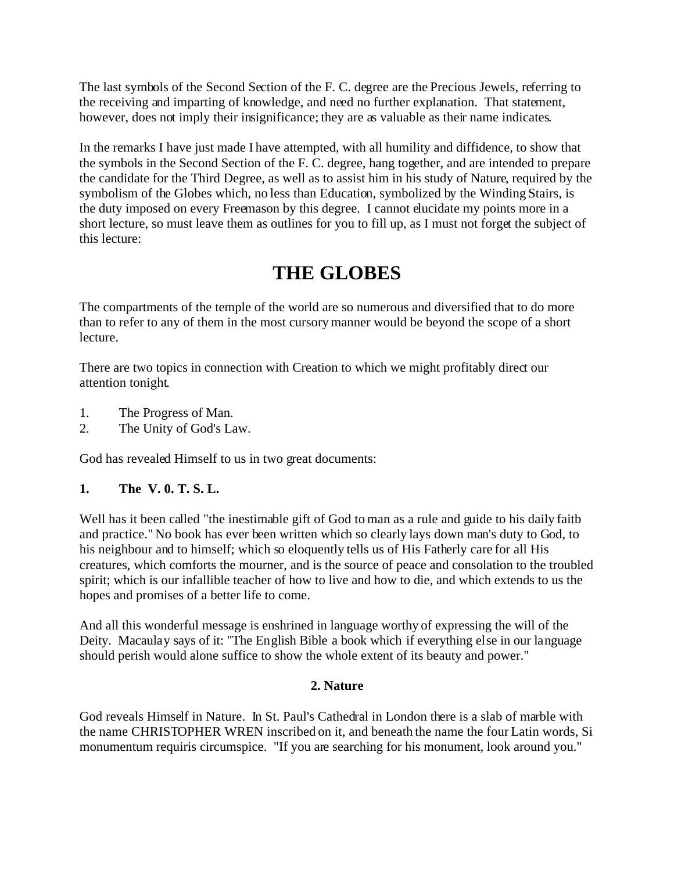The last symbols of the Second Section of the F. C. degree are the Precious Jewels, referring to the receiving and imparting of knowledge, and need no further explanation. That statement, however, does not imply their insignificance; they are as valuable as their name indicates.

In the remarks I have just made I have attempted, with all humility and diffidence, to show that the symbols in the Second Section of the F. C. degree, hang together, and are intended to prepare the candidate for the Third Degree, as well as to assist him in his study of Nature, required by the symbolism of the Globes which, no less than Education, symbolized by the Winding Stairs, is the duty imposed on every Freemason by this degree. I cannot elucidate my points more in a short lecture, so must leave them as outlines for you to fill up, as I must not forget the subject of this lecture:

# **THE GLOBES**

The compartments of the temple of the world are so numerous and diversified that to do more than to refer to any of them in the most cursory manner would be beyond the scope of a short lecture.

There are two topics in connection with Creation to which we might profitably direct our attention tonight.

- 1. The Progress of Man.
- 2. The Unity of God's Law.

God has revealed Himself to us in two great documents:

#### **1. The V. 0. T. S. L.**

Well has it been called "the inestimable gift of God to man as a rule and guide to his daily faitb and practice." No book has ever been written which so clearly lays down man's duty to God, to his neighbour and to himself; which so eloquently tells us of His Fatherly care for all His creatures, which comforts the mourner, and is the source of peace and consolation to the troubled spirit; which is our infallible teacher of how to live and how to die, and which extends to us the hopes and promises of a better life to come.

And all this wonderful message is enshrined in language worthy of expressing the will of the Deity. Macaulay says of it: "The English Bible a book which if everything else in our language should perish would alone suffice to show the whole extent of its beauty and power."

#### **2. Nature**

God reveals Himself in Nature. In St. Paul's Cathedral in London there is a slab of marble with the name CHRISTOPHER WREN inscribed on it, and beneath the name the four Latin words, Si monumentum requiris circumspice. "If you are searching for his monument, look around you."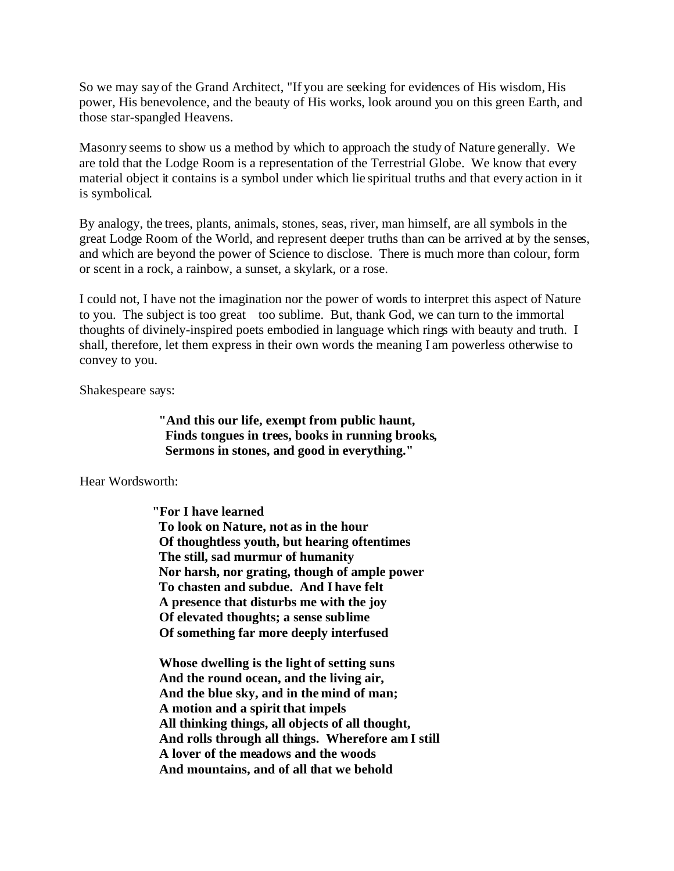So we may say of the Grand Architect, "If you are seeking for evidences of His wisdom, His power, His benevolence, and the beauty of His works, look around you on this green Earth, and those star-spangled Heavens.

Masonry seems to show us a method by which to approach the study of Nature generally. We are told that the Lodge Room is a representation of the Terrestrial Globe. We know that every material object it contains is a symbol under which lie spiritual truths and that every action in it is symbolical.

By analogy, the trees, plants, animals, stones, seas, river, man himself, are all symbols in the great Lodge Room of the World, and represent deeper truths than can be arrived at by the senses, and which are beyond the power of Science to disclose. There is much more than colour, form or scent in a rock, a rainbow, a sunset, a skylark, or a rose.

I could not, I have not the imagination nor the power of words to interpret this aspect of Nature to you. The subject is too great too sublime. But, thank God, we can turn to the immortal thoughts of divinely-inspired poets embodied in language which rings with beauty and truth. I shall, therefore, let them express in their own words the meaning I am powerless otherwise to convey to you.

Shakespeare says:

**"And this our life, exempt from public haunt, Finds tongues in trees, books in running brooks, Sermons in stones, and good in everything."**

Hear Wordsworth:

 **"For I have learned To look on Nature, not as in the hour Of thoughtless youth, but hearing oftentimes The still, sad murmur of humanity Nor harsh, nor grating, though of ample power To chasten and subdue. And I have felt A presence that disturbs me with the joy Of elevated thoughts; a sense sublime Of something far more deeply interfused**

**Whose dwelling is the light of setting suns And the round ocean, and the living air, And the blue sky, and in the mind of man; A motion and a spirit that impels All thinking things, all objects of all thought, And rolls through all things. Wherefore am I still A lover of the meadows and the woods And mountains, and of all that we behold**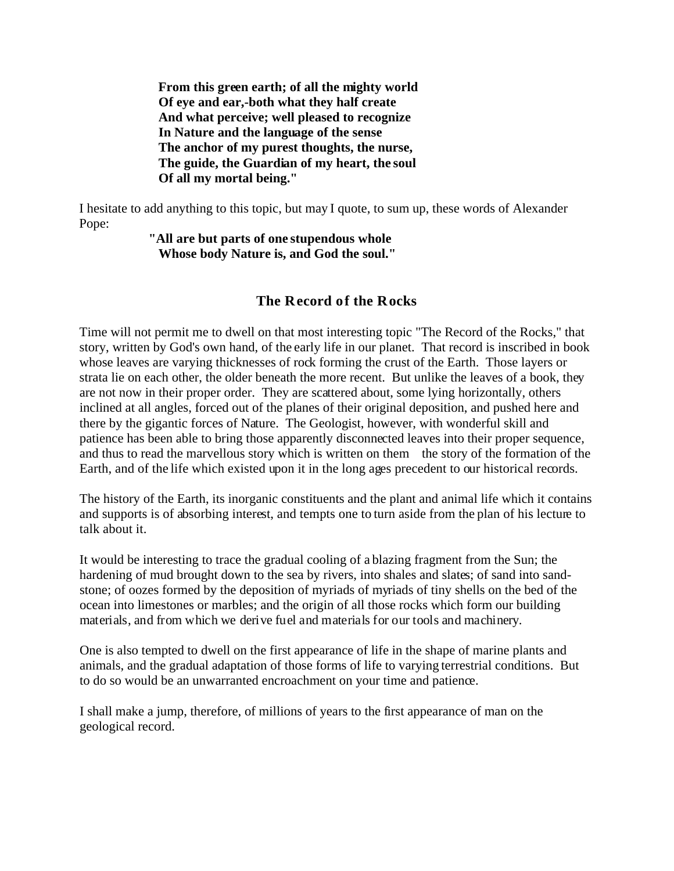**From this green earth; of all the mighty world Of eye and ear,-both what they half create And what perceive; well pleased to recognize In Nature and the language of the sense The anchor of my purest thoughts, the nurse, The guide, the Guardian of my heart, the soul Of all my mortal being."**

I hesitate to add anything to this topic, but may I quote, to sum up, these words of Alexander Pope:

> **"All are but parts of one stupendous whole Whose body Nature is, and God the soul."**

#### **The Record of the Rocks**

Time will not permit me to dwell on that most interesting topic "The Record of the Rocks," that story, written by God's own hand, of the early life in our planet. That record is inscribed in book whose leaves are varying thicknesses of rock forming the crust of the Earth. Those layers or strata lie on each other, the older beneath the more recent. But unlike the leaves of a book, they are not now in their proper order. They are scattered about, some lying horizontally, others inclined at all angles, forced out of the planes of their original deposition, and pushed here and there by the gigantic forces of Nature. The Geologist, however, with wonderful skill and patience has been able to bring those apparently disconnected leaves into their proper sequence, and thus to read the marvellous story which is written on them the story of the formation of the Earth, and of the life which existed upon it in the long ages precedent to our historical records.

The history of the Earth, its inorganic constituents and the plant and animal life which it contains and supports is of absorbing interest, and tempts one to turn aside from the plan of his lecture to talk about it.

It would be interesting to trace the gradual cooling of a blazing fragment from the Sun; the hardening of mud brought down to the sea by rivers, into shales and slates; of sand into sandstone; of oozes formed by the deposition of myriads of myriads of tiny shells on the bed of the ocean into limestones or marbles; and the origin of all those rocks which form our building materials, and from which we derive fuel and materials for our tools and machinery.

One is also tempted to dwell on the first appearance of life in the shape of marine plants and animals, and the gradual adaptation of those forms of life to varying terrestrial conditions. But to do so would be an unwarranted encroachment on your time and patience.

I shall make a jump, therefore, of millions of years to the first appearance of man on the geological record.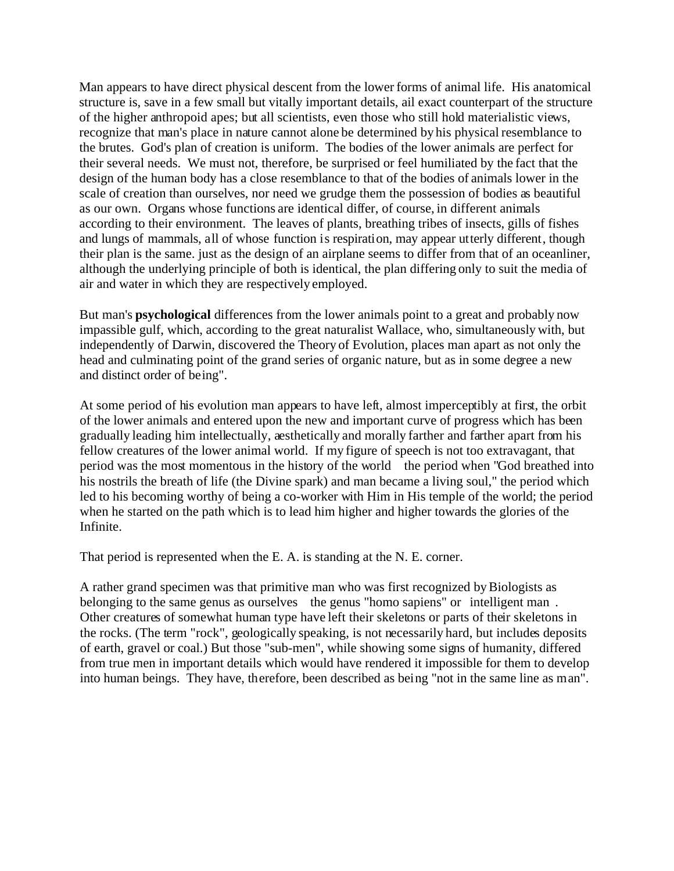Man appears to have direct physical descent from the lower forms of animal life. His anatomical structure is, save in a few small but vitally important details, ail exact counterpart of the structure of the higher anthropoid apes; but all scientists, even those who still hold materialistic views, recognize that man's place in nature cannot alone be determined by his physical resemblance to the brutes. God's plan of creation is uniform. The bodies of the lower animals are perfect for their several needs. We must not, therefore, be surprised or feel humiliated by the fact that the design of the human body has a close resemblance to that of the bodies of animals lower in the scale of creation than ourselves, nor need we grudge them the possession of bodies as beautiful as our own. Organs whose functions are identical differ, of course, in different animals according to their environment. The leaves of plants, breathing tribes of insects, gills of fishes and lungs of mammals, all of whose function is respiration, may appear utterly different, though their plan is the same. just as the design of an airplane seems to differ from that of an oceanliner, although the underlying principle of both is identical, the plan differing only to suit the media of air and water in which they are respectively employed.

But man's **psychological** differences from the lower animals point to a great and probably now impassible gulf, which, according to the great naturalist Wallace, who, simultaneously with, but independently of Darwin, discovered the Theory of Evolution, places man apart as not only the head and culminating point of the grand series of organic nature, but as in some degree a new and distinct order of being".

At some period of his evolution man appears to have left, almost imperceptibly at first, the orbit of the lower animals and entered upon the new and important curve of progress which has been gradually leading him intellectually, aesthetically and morally farther and farther apart from his fellow creatures of the lower animal world. If my figure of speech is not too extravagant, that period was the most momentous in the history of the world the period when "God breathed into his nostrils the breath of life (the Divine spark) and man became a living soul," the period which led to his becoming worthy of being a co-worker with Him in His temple of the world; the period when he started on the path which is to lead him higher and higher towards the glories of the Infinite.

That period is represented when the E. A. is standing at the N. E. corner.

A rather grand specimen was that primitive man who was first recognized by Biologists as belonging to the same genus as ourselves the genus "homo sapiens" or intelligent man . Other creatures of somewhat human type have left their skeletons or parts of their skeletons in the rocks. (The term "rock", geologically speaking, is not necessarily hard, but includes deposits of earth, gravel or coal.) But those "sub-men", while showing some signs of humanity, differed from true men in important details which would have rendered it impossible for them to develop into human beings. They have, therefore, been described as being "not in the same line as man".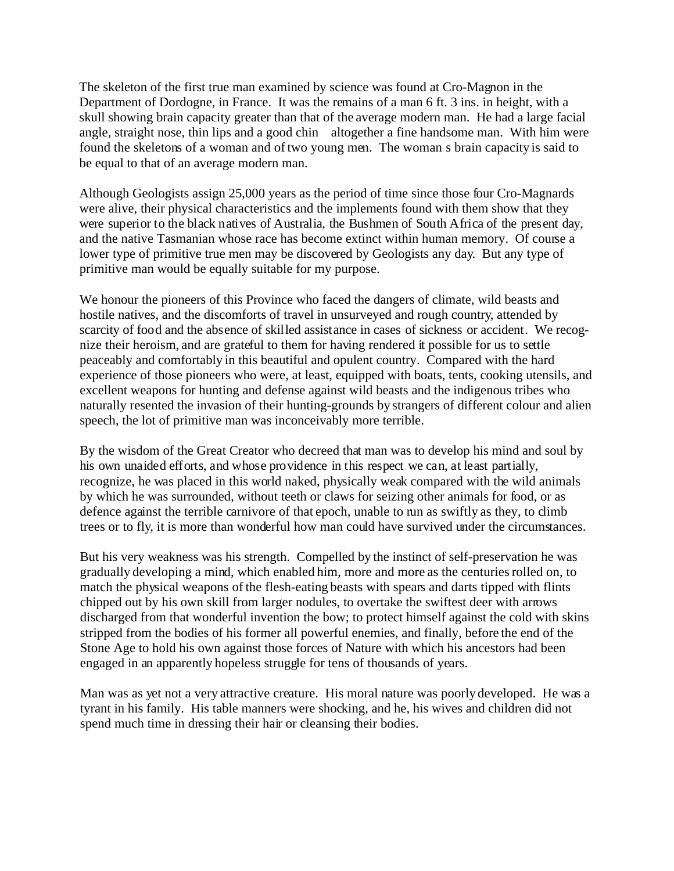The skeleton of the first true man examined by science was found at Cro-Magnon in the Department of Dordogne, in France. It was the remains of a man 6 ft. 3 ins. in height, with a skull showing brain capacity greater than that of the average modern man. He had a large facial angle, straight nose, thin lips and a good chin altogether a fine handsome man. With him were found the skeletons of a woman and of two young men. The woman s brain capacity is said to be equal to that of an average modern man.

Although Geologists assign 25,000 years as the period of time since those four Cro-Magnards were alive, their physical characteristics and the implements found with them show that they were superior to the black natives of Australia, the Bushmen of South Africa of the present day, and the native Tasmanian whose race has become extinct within human memory. Of course a lower type of primitive true men may be discovered by Geologists any day. But any type of primitive man would be equally suitable for my purpose.

We honour the pioneers of this Province who faced the dangers of climate, wild beasts and hostile natives, and the discomforts of travel in unsurveyed and rough country, attended by scarcity of food and the absence of skilled assistance in cases of sickness or accident. We recognize their heroism, and are grateful to them for having rendered it possible for us to settle peaceably and comfortably in this beautiful and opulent country. Compared with the hard experience of those pioneers who were, at least, equipped with boats, tents, cooking utensils, and excellent weapons for hunting and defense against wild beasts and the indigenous tribes who naturally resented the invasion of their hunting-grounds by strangers of different colour and alien speech, the lot of primitive man was inconceivably more terrible.

By the wisdom of the Great Creator who decreed that man was to develop his mind and soul by his own unaided efforts, and whose providence in this respect we can, at least partially, recognize, he was placed in this world naked, physically weak compared with the wild animals by which he was surrounded, without teeth or claws for seizing other animals for food, or as defence against the terrible carnivore of that epoch, unable to run as swiftly as they, to climb trees or to fly, it is more than wonderful how man could have survived under the circumstances.

But his very weakness was his strength. Compelled by the instinct of self-preservation he was gradually developing a mind, which enabled him, more and more as the centuries rolled on, to match the physical weapons of the flesh-eating beasts with spears and darts tipped with flints chipped out by his own skill from larger nodules, to overtake the swiftest deer with arrows discharged from that wonderful invention the bow; to protect himself against the cold with skins stripped from the bodies of his former all powerful enemies, and finally, before the end of the Stone Age to hold his own against those forces of Nature with which his ancestors had been engaged in an apparently hopeless struggle for tens of thousands of years.

Man was as yet not a very attractive creature. His moral nature was poorly developed. He was a tyrant in his family. His table manners were shocking, and he, his wives and children did not spend much time in dressing their hair or cleansing their bodies.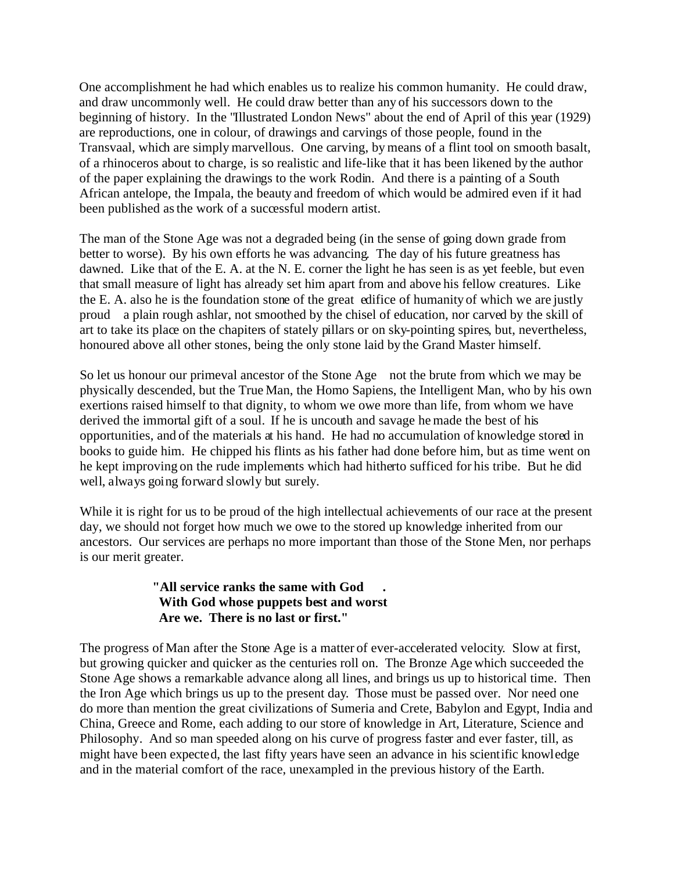One accomplishment he had which enables us to realize his common humanity. He could draw, and draw uncommonly well. He could draw better than any of his successors down to the beginning of history. In the "Illustrated London News" about the end of April of this year (1929) are reproductions, one in colour, of drawings and carvings of those people, found in the Transvaal, which are simply marvellous. One carving, by means of a flint tool on smooth basalt, of a rhinoceros about to charge, is so realistic and life-like that it has been likened by the author of the paper explaining the drawings to the work Rodin. And there is a painting of a South African antelope, the Impala, the beauty and freedom of which would be admired even if it had been published as the work of a successful modern artist.

The man of the Stone Age was not a degraded being (in the sense of going down grade from better to worse). By his own efforts he was advancing. The day of his future greatness has dawned. Like that of the E. A. at the N. E. corner the light he has seen is as yet feeble, but even that small measure of light has already set him apart from and above his fellow creatures. Like the E. A. also he is the foundation stone of the great edifice of humanity of which we are justly proud a plain rough ashlar, not smoothed by the chisel of education, nor carved by the skill of art to take its place on the chapiters of stately pillars or on sky-pointing spires, but, nevertheless, honoured above all other stones, being the only stone laid by the Grand Master himself.

So let us honour our primeval ancestor of the Stone Age not the brute from which we may be physically descended, but the True Man, the Homo Sapiens, the Intelligent Man, who by his own exertions raised himself to that dignity, to whom we owe more than life, from whom we have derived the immortal gift of a soul. If he is uncouth and savage he made the best of his opportunities, and of the materials at his hand. He had no accumulation of knowledge stored in books to guide him. He chipped his flints as his father had done before him, but as time went on he kept improving on the rude implements which had hitherto sufficed for his tribe. But he did well, always going forward slowly but surely.

While it is right for us to be proud of the high intellectual achievements of our race at the present day, we should not forget how much we owe to the stored up knowledge inherited from our ancestors. Our services are perhaps no more important than those of the Stone Men, nor perhaps is our merit greater.

#### **"All service ranks the same with God . With God whose puppets best and worst Are we. There is no last or first."**

The progress of Man after the Stone Age is a matter of ever-accelerated velocity. Slow at first, but growing quicker and quicker as the centuries roll on. The Bronze Age which succeeded the Stone Age shows a remarkable advance along all lines, and brings us up to historical time. Then the Iron Age which brings us up to the present day. Those must be passed over. Nor need one do more than mention the great civilizations of Sumeria and Crete, Babylon and Egypt, India and China, Greece and Rome, each adding to our store of knowledge in Art, Literature, Science and Philosophy. And so man speeded along on his curve of progress faster and ever faster, till, as might have been expected, the last fifty years have seen an advance in his scientific knowledge and in the material comfort of the race, unexampled in the previous history of the Earth.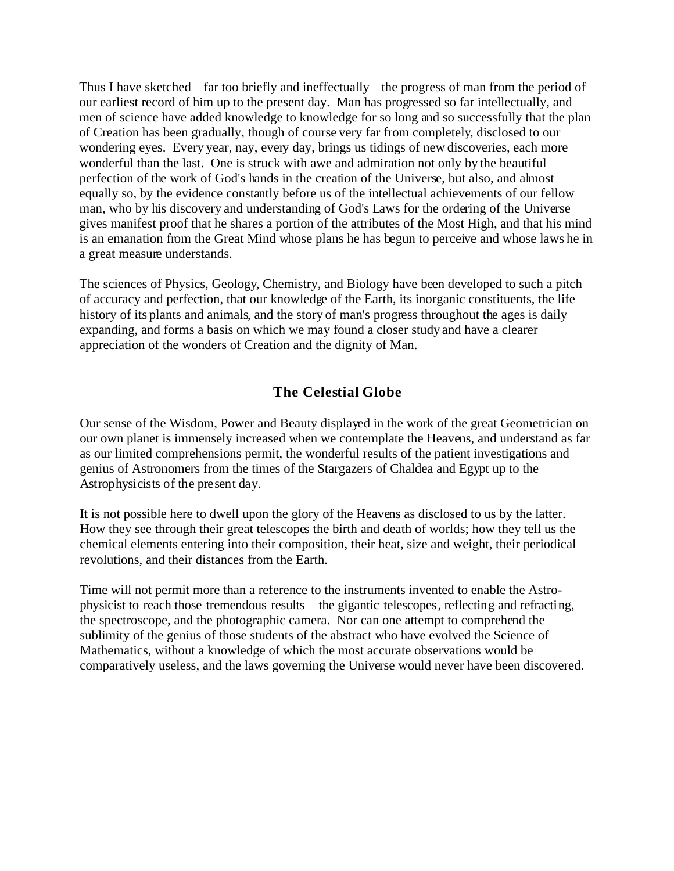Thus I have sketched far too briefly and ineffectually the progress of man from the period of our earliest record of him up to the present day. Man has progressed so far intellectually, and men of science have added knowledge to knowledge for so long and so successfully that the plan of Creation has been gradually, though of course very far from completely, disclosed to our wondering eyes. Every year, nay, every day, brings us tidings of new discoveries, each more wonderful than the last. One is struck with awe and admiration not only by the beautiful perfection of the work of God's hands in the creation of the Universe, but also, and almost equally so, by the evidence constantly before us of the intellectual achievements of our fellow man, who by his discovery and understanding of God's Laws for the ordering of the Universe gives manifest proof that he shares a portion of the attributes of the Most High, and that his mind is an emanation from the Great Mind whose plans he has begun to perceive and whose laws he in a great measure understands.

The sciences of Physics, Geology, Chemistry, and Biology have been developed to such a pitch of accuracy and perfection, that our knowledge of the Earth, its inorganic constituents, the life history of its plants and animals, and the story of man's progress throughout the ages is daily expanding, and forms a basis on which we may found a closer study and have a clearer appreciation of the wonders of Creation and the dignity of Man.

### **The Celestial Globe**

Our sense of the Wisdom, Power and Beauty displayed in the work of the great Geometrician on our own planet is immensely increased when we contemplate the Heavens, and understand as far as our limited comprehensions permit, the wonderful results of the patient investigations and genius of Astronomers from the times of the Stargazers of Chaldea and Egypt up to the Astrophysicists of the present day.

It is not possible here to dwell upon the glory of the Heavens as disclosed to us by the latter. How they see through their great telescopes the birth and death of worlds; how they tell us the chemical elements entering into their composition, their heat, size and weight, their periodical revolutions, and their distances from the Earth.

Time will not permit more than a reference to the instruments invented to enable the Astrophysicist to reach those tremendous results the gigantic telescopes, reflecting and refracting, the spectroscope, and the photographic camera. Nor can one attempt to comprehend the sublimity of the genius of those students of the abstract who have evolved the Science of Mathematics, without a knowledge of which the most accurate observations would be comparatively useless, and the laws governing the Universe would never have been discovered.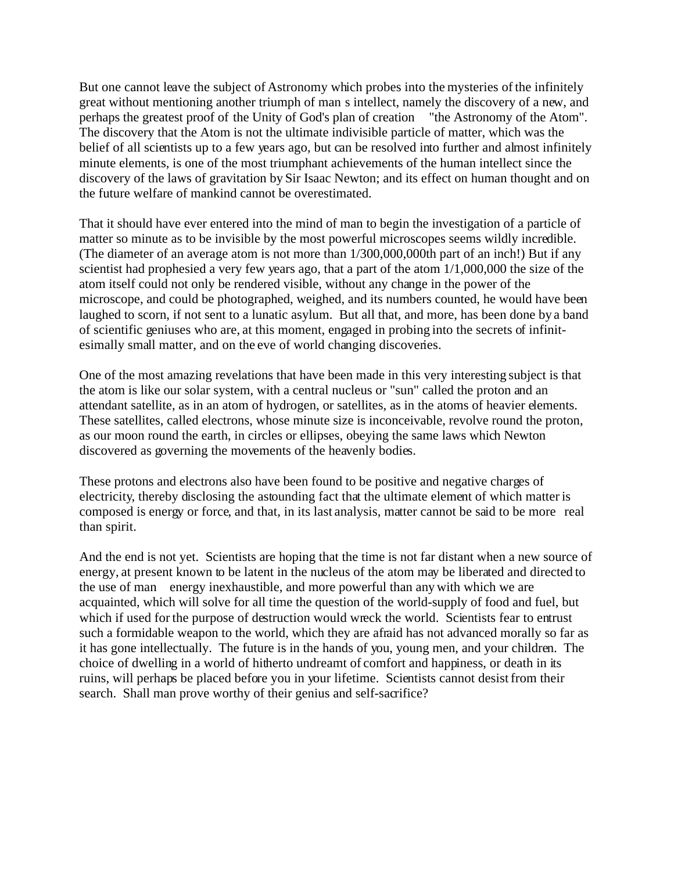But one cannot leave the subject of Astronomy which probes into the mysteries of the infinitely great without mentioning another triumph of man s intellect, namely the discovery of a new, and perhaps the greatest proof of the Unity of God's plan of creation "the Astronomy of the Atom". The discovery that the Atom is not the ultimate indivisible particle of matter, which was the belief of all scientists up to a few years ago, but can be resolved into further and almost infinitely minute elements, is one of the most triumphant achievements of the human intellect since the discovery of the laws of gravitation by Sir Isaac Newton; and its effect on human thought and on the future welfare of mankind cannot be overestimated.

That it should have ever entered into the mind of man to begin the investigation of a particle of matter so minute as to be invisible by the most powerful microscopes seems wildly incredible. (The diameter of an average atom is not more than 1/300,000,000th part of an inch!) But if any scientist had prophesied a very few years ago, that a part of the atom 1/1,000,000 the size of the atom itself could not only be rendered visible, without any change in the power of the microscope, and could be photographed, weighed, and its numbers counted, he would have been laughed to scorn, if not sent to a lunatic asylum. But all that, and more, has been done by a band of scientific geniuses who are, at this moment, engaged in probing into the secrets of infinitesimally small matter, and on the eve of world changing discoveries.

One of the most amazing revelations that have been made in this very interesting subject is that the atom is like our solar system, with a central nucleus or "sun" called the proton and an attendant satellite, as in an atom of hydrogen, or satellites, as in the atoms of heavier elements. These satellites, called electrons, whose minute size is inconceivable, revolve round the proton, as our moon round the earth, in circles or ellipses, obeying the same laws which Newton discovered as governing the movements of the heavenly bodies.

These protons and electrons also have been found to be positive and negative charges of electricity, thereby disclosing the astounding fact that the ultimate element of which matter is composed is energy or force, and that, in its last analysis, matter cannot be said to be more real than spirit.

And the end is not yet. Scientists are hoping that the time is not far distant when a new source of energy, at present known to be latent in the nucleus of the atom may be liberated and directed to the use of man energy inexhaustible, and more powerful than any with which we are acquainted, which will solve for all time the question of the world-supply of food and fuel, but which if used for the purpose of destruction would wreck the world. Scientists fear to entrust such a formidable weapon to the world, which they are afraid has not advanced morally so far as it has gone intellectually. The future is in the hands of you, young men, and your children. The choice of dwelling in a world of hitherto undreamt of comfort and happiness, or death in its ruins, will perhaps be placed before you in your lifetime. Scientists cannot desist from their search. Shall man prove worthy of their genius and self-sacrifice?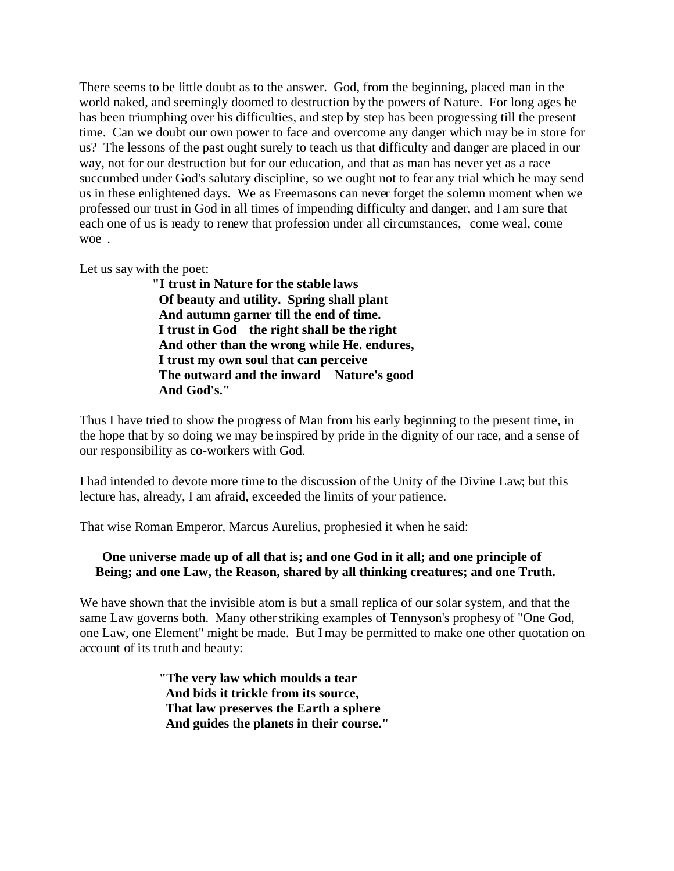There seems to be little doubt as to the answer. God, from the beginning, placed man in the world naked, and seemingly doomed to destruction by the powers of Nature. For long ages he has been triumphing over his difficulties, and step by step has been progressing till the present time. Can we doubt our own power to face and overcome any danger which may be in store for us? The lessons of the past ought surely to teach us that difficulty and danger are placed in our way, not for our destruction but for our education, and that as man has never yet as a race succumbed under God's salutary discipline, so we ought not to fear any trial which he may send us in these enlightened days. We as Freemasons can never forget the solemn moment when we professed our trust in God in all times of impending difficulty and danger, and I am sure that each one of us is ready to renew that profession under all circumstances, come weal, come woe.

Let us say with the poet:

 **"I trust in Nature for the stable laws Of beauty and utility. Spring shall plant And autumn garner till the end of time. I trust in God the right shall be the right And other than the wrong while He. endures, I trust my own soul that can perceive The outward and the inward Nature's good And God's."**

Thus I have tried to show the progress of Man from his early beginning to the present time, in the hope that by so doing we may be inspired by pride in the dignity of our race, and a sense of our responsibility as co-workers with God.

I had intended to devote more time to the discussion of the Unity of the Divine Law; but this lecture has, already, I am afraid, exceeded the limits of your patience.

That wise Roman Emperor, Marcus Aurelius, prophesied it when he said:

#### **One universe made up of all that is; and one God in it all; and one principle of Being; and one Law, the Reason, shared by all thinking creatures; and one Truth.**

We have shown that the invisible atom is but a small replica of our solar system, and that the same Law governs both. Many other striking examples of Tennyson's prophesy of "One God, one Law, one Element" might be made. But I may be permitted to make one other quotation on account of its truth and beauty:

> **"The very law which moulds a tear And bids it trickle from its source, That law preserves the Earth a sphere And guides the planets in their course."**